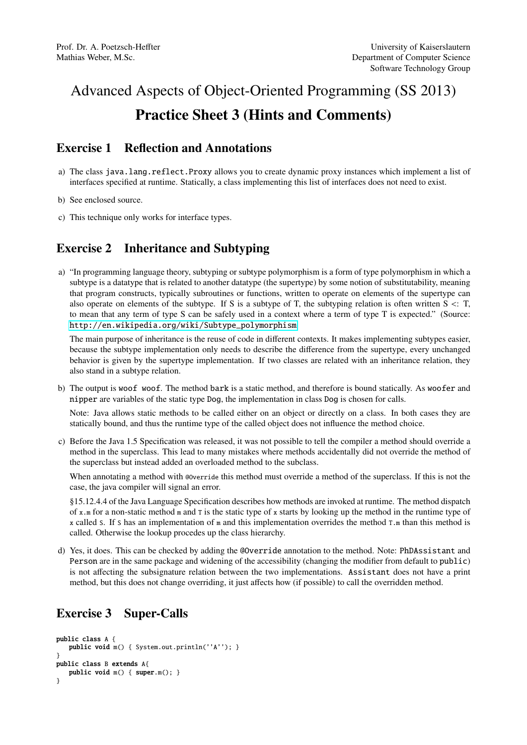# Advanced Aspects of Object-Oriented Programming (SS 2013) Practice Sheet 3 (Hints and Comments)

#### Exercise 1 Reflection and Annotations

- a) The class java.lang.reflect.Proxy allows you to create dynamic proxy instances which implement a list of interfaces specified at runtime. Statically, a class implementing this list of interfaces does not need to exist.
- b) See enclosed source.
- c) This technique only works for interface types.

### Exercise 2 Inheritance and Subtyping

a) "In programming language theory, subtyping or subtype polymorphism is a form of type polymorphism in which a subtype is a datatype that is related to another datatype (the supertype) by some notion of substitutability, meaning that program constructs, typically subroutines or functions, written to operate on elements of the supertype can also operate on elements of the subtype. If S is a subtype of T, the subtyping relation is often written  $S \lt: T$ , to mean that any term of type S can be safely used in a context where a term of type T is expected." (Source: [http://en.wikipedia.org/wiki/Subtype\\_polymorphism](http://en.wikipedia.org/wiki/Subtype_polymorphism)

The main purpose of inheritance is the reuse of code in different contexts. It makes implementing subtypes easier, because the subtype implementation only needs to describe the difference from the supertype, every unchanged behavior is given by the supertype implementation. If two classes are related with an inheritance relation, they also stand in a subtype relation.

b) The output is woof woof. The method bark is a static method, and therefore is bound statically. As woofer and nipper are variables of the static type Dog, the implementation in class Dog is chosen for calls.

Note: Java allows static methods to be called either on an object or directly on a class. In both cases they are statically bound, and thus the runtime type of the called object does not influence the method choice.

c) Before the Java 1.5 Specification was released, it was not possible to tell the compiler a method should override a method in the superclass. This lead to many mistakes where methods accidentally did not override the method of the superclass but instead added an overloaded method to the subclass.

When annotating a method with *@override* this method must override a method of the superclass. If this is not the case, the java compiler will signal an error.

§15.12.4.4 of the Java Language Specification describes how methods are invoked at runtime. The method dispatch of x.m for a non-static method m and T is the static type of x starts by looking up the method in the runtime type of x called S. If S has an implementation of  $m$  and this implementation overrides the method  $T \cdot m$  than this method is called. Otherwise the lookup procedes up the class hierarchy.

d) Yes, it does. This can be checked by adding the @Override annotation to the method. Note: PhDAssistant and Person are in the same package and widening of the accessibility (changing the modifier from default to public) is not affecting the subsignature relation between the two implementations. Assistant does not have a print method, but this does not change overriding, it just affects how (if possible) to call the overridden method.

## Exercise 3 Super-Calls

```
public class A {
   public void m() { System.out.println(''A''); }
}
public class B extends A{
   public void m() \{ super.m(); }}
```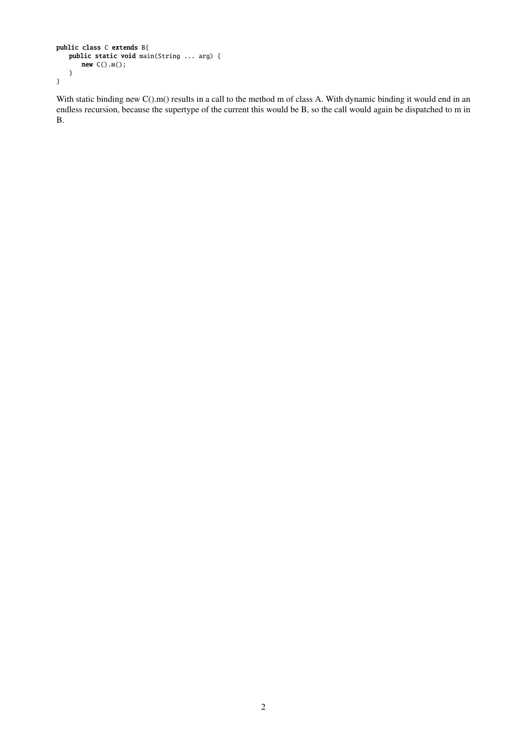```
public class C extends B{
   public static void main(String ... arg) {
      new C().m();
   }
}
```
With static binding new C().m() results in a call to the method m of class A. With dynamic binding it would end in an endless recursion, because the supertype of the current this would be B, so the call would again be dispatched to m in B.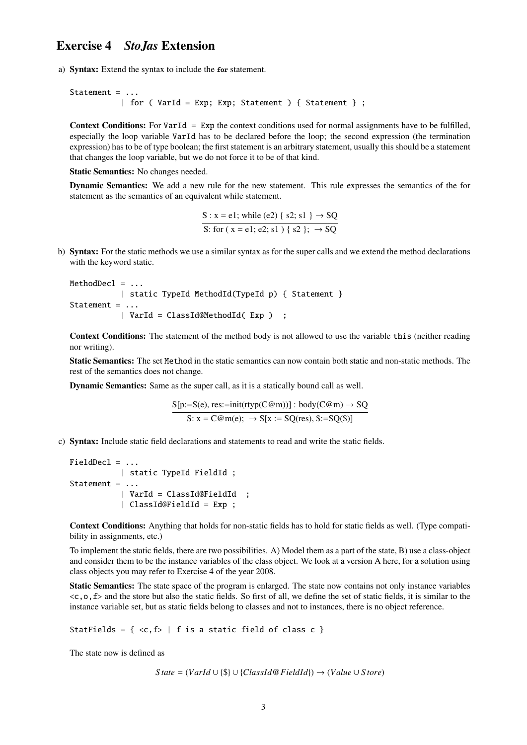#### Exercise 4 *StoJas* Extension

a) Syntax: Extend the syntax to include the for statement.

```
Statement = \ldots| for ( VarId = Exp; Exp; Statement ) { Statement } ;
```
Context Conditions: For VarId = Exp the context conditions used for normal assignments have to be fulfilled, especially the loop variable VarId has to be declared before the loop; the second expression (the termination expression) has to be of type boolean; the first statement is an arbitrary statement, usually this should be a statement that changes the loop variable, but we do not force it to be of that kind.

Static Semantics: No changes needed.

Dynamic Semantics: We add a new rule for the new statement. This rule expresses the semantics of the for statement as the semantics of an equivalent while statement.

S: x = e1; while (e2) { s2; s1 } 
$$
\rightarrow
$$
 SQ  
\nS: for ( x = e1; e2; s1 ) { s2 };  $\rightarrow$  SQ

b) Syntax: For the static methods we use a similar syntax as for the super calls and we extend the method declarations with the keyword static.

```
MethodDec1 = ...| static TypeId MethodId(TypeId p) { Statement }
Statement = ...
           | VarId = ClassId@MethodId( Exp ) ;
```
Context Conditions: The statement of the method body is not allowed to use the variable this (neither reading nor writing).

Static Semantics: The set Method in the static semantics can now contain both static and non-static methods. The rest of the semantics does not change.

Dynamic Semantics: Same as the super call, as it is a statically bound call as well.

$$
\frac{S[p:=S(e), res:=init(rtyp(C@m))]: body(C@m) \to SQ}{S: x = C@m(e); \to S[x := SQ(res), $:=SQ(\$)]}
$$

c) Syntax: Include static field declarations and statements to read and write the static fields.

```
FieldDec1 = ...| static TypeId FieldId ;
Statement = ...
           | VarId = ClassId@FieldId ;
           | ClassId@FieldId = Exp ;
```
Context Conditions: Anything that holds for non-static fields has to hold for static fields as well. (Type compatibility in assignments, etc.)

To implement the static fields, there are two possibilities. A) Model them as a part of the state, B) use a class-object and consider them to be the instance variables of the class object. We look at a version A here, for a solution using class objects you may refer to Exercise 4 of the year 2008.

Static Semantics: The state space of the program is enlarged. The state now contains not only instance variables <c,o,f> and the store but also the static fields. So first of all, we define the set of static fields, it is similar to the instance variable set, but as static fields belong to classes and not to instances, there is no object reference.

StatFields =  $\{ \langle c, f \rangle \mid f \text{ is a static field of class } c \}$ 

The state now is defined as

*S tate* = (*VarId* ∪ {\$} ∪ {*ClassId*@*FieldId*}) → (*Value* ∪ *S tore*)